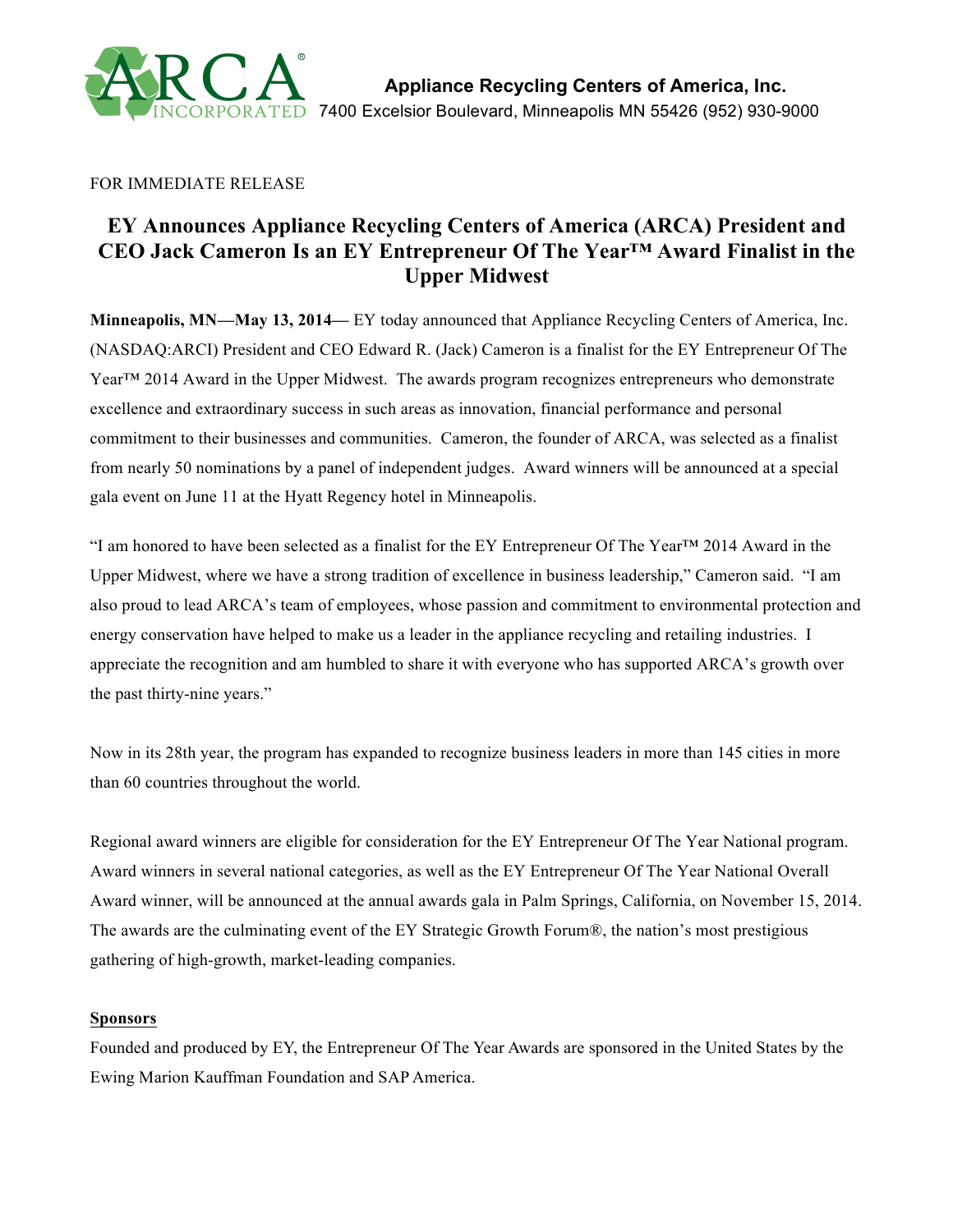

# FOR IMMEDIATE RELEASE

# **EY Announces Appliance Recycling Centers of America (ARCA) President and CEO Jack Cameron Is an EY Entrepreneur Of The Year™ Award Finalist in the Upper Midwest**

**Minneapolis, MN—May 13, 2014—** EY today announced that Appliance Recycling Centers of America, Inc. (NASDAQ:ARCI) President and CEO Edward R. (Jack) Cameron is a finalist for the EY Entrepreneur Of The Year™ 2014 Award in the Upper Midwest. The awards program recognizes entrepreneurs who demonstrate excellence and extraordinary success in such areas as innovation, financial performance and personal commitment to their businesses and communities. Cameron, the founder of ARCA, was selected as a finalist from nearly 50 nominations by a panel of independent judges. Award winners will be announced at a special gala event on June 11 at the Hyatt Regency hotel in Minneapolis.

"I am honored to have been selected as a finalist for the EY Entrepreneur Of The Year™ 2014 Award in the Upper Midwest, where we have a strong tradition of excellence in business leadership," Cameron said. "I am also proud to lead ARCA's team of employees, whose passion and commitment to environmental protection and energy conservation have helped to make us a leader in the appliance recycling and retailing industries. I appreciate the recognition and am humbled to share it with everyone who has supported ARCA's growth over the past thirty-nine years."

Now in its 28th year, the program has expanded to recognize business leaders in more than 145 cities in more than 60 countries throughout the world.

Regional award winners are eligible for consideration for the EY Entrepreneur Of The Year National program. Award winners in several national categories, as well as the EY Entrepreneur Of The Year National Overall Award winner, will be announced at the annual awards gala in Palm Springs, California, on November 15, 2014. The awards are the culminating event of the EY Strategic Growth Forum®, the nation's most prestigious gathering of high-growth, market-leading companies.

#### **Sponsors**

Founded and produced by EY, the Entrepreneur Of The Year Awards are sponsored in the United States by the Ewing Marion Kauffman Foundation and SAP America.